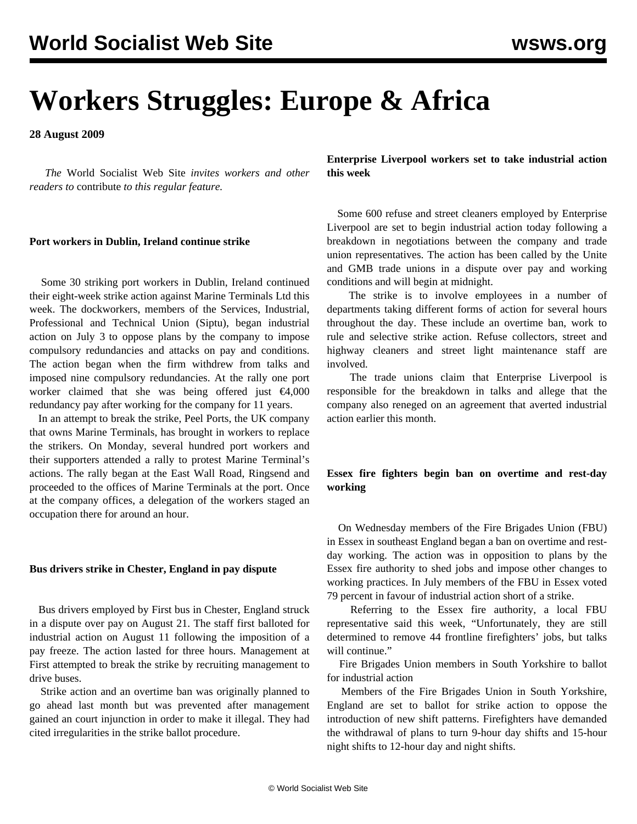# **Workers Struggles: Europe & Africa**

**28 August 2009**

 *The* World Socialist Web Site *invites workers and other readers to* [contribute](/wsws/dd-formmailer/dd-formmailer.php) *to this regular feature.*

#### **Port workers in Dublin, Ireland continue strike**

 Some 30 striking port workers in Dublin, Ireland continued their eight-week strike action against Marine Terminals Ltd this week. The dockworkers, members of the Services, Industrial, Professional and Technical Union (Siptu), began industrial action on July 3 to oppose plans by the company to impose compulsory redundancies and attacks on pay and conditions. The action began when the firm withdrew from talks and imposed nine compulsory redundancies. At the rally one port worker claimed that she was being offered just  $\epsilon$ 4,000 redundancy pay after working for the company for 11 years.

 In an attempt to break the strike, Peel Ports, the UK company that owns Marine Terminals, has brought in workers to replace the strikers. On Monday, several hundred port workers and their supporters attended a rally to protest Marine Terminal's actions. The rally began at the East Wall Road, Ringsend and proceeded to the offices of Marine Terminals at the port. Once at the company offices, a delegation of the workers staged an occupation there for around an hour.

#### **Bus drivers strike in Chester, England in pay dispute**

 Bus drivers employed by First bus in Chester, England struck in a dispute over pay on August 21. The staff first balloted for industrial action on August 11 following the imposition of a pay freeze. The action lasted for three hours. Management at First attempted to break the strike by recruiting management to drive buses.

 Strike action and an overtime ban was originally planned to go ahead last month but was prevented after management gained an court injunction in order to make it illegal. They had cited irregularities in the strike ballot procedure.

**Enterprise Liverpool workers set to take industrial action this week**

 Some 600 refuse and street cleaners employed by Enterprise Liverpool are set to begin industrial action today following a breakdown in negotiations between the company and trade union representatives. The action has been called by the Unite and GMB trade unions in a dispute over pay and working conditions and will begin at midnight.

 The strike is to involve employees in a number of departments taking different forms of action for several hours throughout the day. These include an overtime ban, work to rule and selective strike action. Refuse collectors, street and highway cleaners and street light maintenance staff are involved.

 The trade unions claim that Enterprise Liverpool is responsible for the breakdown in talks and allege that the company also reneged on an agreement that averted industrial action earlier this month.

## **Essex fire fighters begin ban on overtime and rest-day working**

 On Wednesday members of the Fire Brigades Union (FBU) in Essex in southeast England began a ban on overtime and restday working. The action was in opposition to plans by the Essex fire authority to shed jobs and impose other changes to working practices. In July members of the FBU in Essex voted 79 percent in favour of industrial action short of a strike.

 Referring to the Essex fire authority, a local FBU representative said this week, "Unfortunately, they are still determined to remove 44 frontline firefighters' jobs, but talks will continue."

 Fire Brigades Union members in South Yorkshire to ballot for industrial action

 Members of the Fire Brigades Union in South Yorkshire, England are set to ballot for strike action to oppose the introduction of new shift patterns. Firefighters have demanded the withdrawal of plans to turn 9-hour day shifts and 15-hour night shifts to 12-hour day and night shifts.